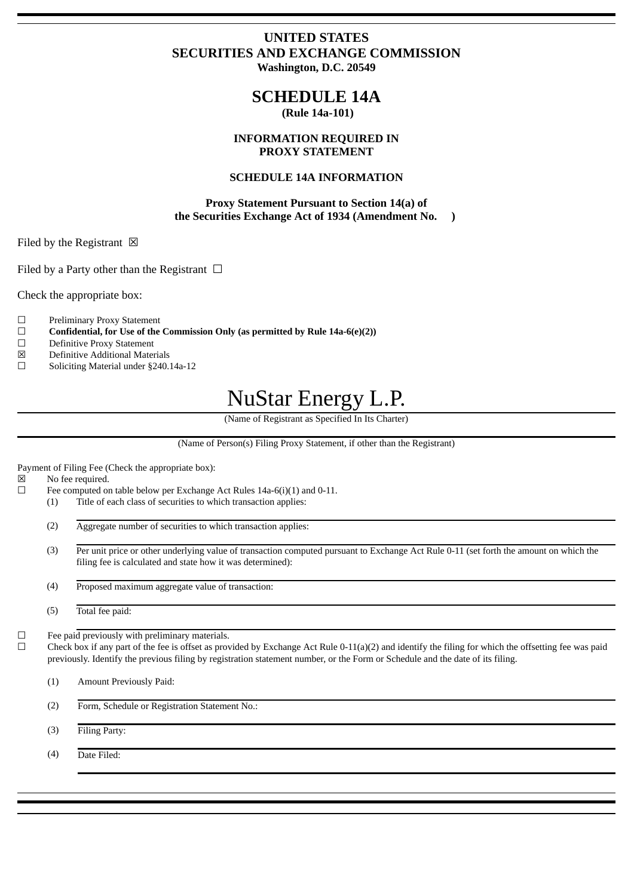### **UNITED STATES SECURITIES AND EXCHANGE COMMISSION Washington, D.C. 20549**

## **SCHEDULE 14A**

 **(Rule 14a-101)**

### **INFORMATION REQUIRED IN PROXY STATEMENT**

### **SCHEDULE 14A INFORMATION**

**Proxy Statement Pursuant to Section 14(a) of the Securities Exchange Act of 1934 (Amendment No. )**

Filed by the Registrant  $\boxtimes$ 

Filed by a Party other than the Registrant  $\Box$ 

Check the appropriate box:

- ☐ Preliminary Proxy Statement
- ☐ **Confidential, for Use of the Commission Only (as permitted by Rule 14a-6(e)(2))**
- ☐ Definitive Proxy Statement
- ☒ Definitive Additional Materials
- ☐ Soliciting Material under §240.14a-12

# NuStar Energy L.P.

(Name of Registrant as Specified In Its Charter)

(Name of Person(s) Filing Proxy Statement, if other than the Registrant)

Payment of Filing Fee (Check the appropriate box):

☒ No fee required.

- $\Box$  Fee computed on table below per Exchange Act Rules 14a-6(i)(1) and 0-11.
	- (1) Title of each class of securities to which transaction applies:
	- (2) Aggregate number of securities to which transaction applies:
	- (3) Per unit price or other underlying value of transaction computed pursuant to Exchange Act Rule 0-11 (set forth the amount on which the filing fee is calculated and state how it was determined):
	- (4) Proposed maximum aggregate value of transaction:
	- (5) Total fee paid:

 $\Box$  Fee paid previously with preliminary materials.<br> $\Box$  Check box if any part of the fee is offset as prov

Check box if any part of the fee is offset as provided by Exchange Act Rule 0-11(a)(2) and identify the filing for which the offsetting fee was paid previously. Identify the previous filing by registration statement number, or the Form or Schedule and the date of its filing.

(1) Amount Previously Paid:

(2) Form, Schedule or Registration Statement No.:

(3) Filing Party:

(4) Date Filed: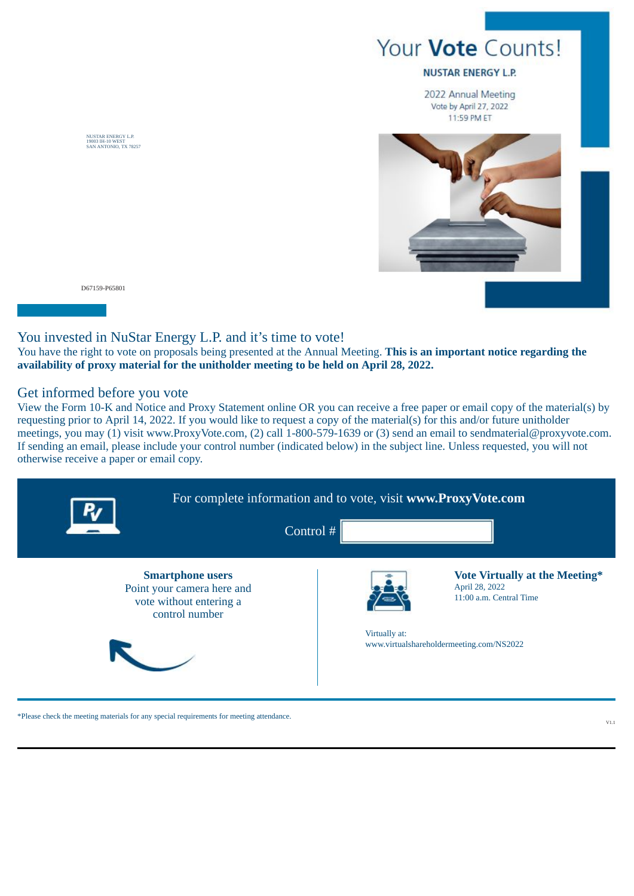## Your Vote Counts!

#### **NUSTAR ENERGY L.P.**

2022 Annual Meeting Vote by April 27, 2022 11:59 PM ET



D67159-P65801

NUSTAR ENERGY L.P. 19003 IH-10 WEST SAN ANTONIO, TX 78257

### You invested in NuStar Energy L.P. and it's time to vote!

You have the right to vote on proposals being presented at the Annual Meeting. **This is an important notice regarding the availability of proxy material for the unitholder meeting to be held on April 28, 2022.**

### Get informed before you vote

View the Form 10-K and Notice and Proxy Statement online OR you can receive a free paper or email copy of the material(s) by requesting prior to April 14, 2022. If you would like to request a copy of the material(s) for this and/or future unitholder meetings, you may (1) visit www.ProxyVote.com, (2) call 1-800-579-1639 or (3) send an email to sendmaterial@proxyvote.com. If sending an email, please include your control number (indicated below) in the subject line. Unless requested, you will not otherwise receive a paper or email copy.



\*Please check the meeting materials for any special requirements for meeting attendance.

V1.1